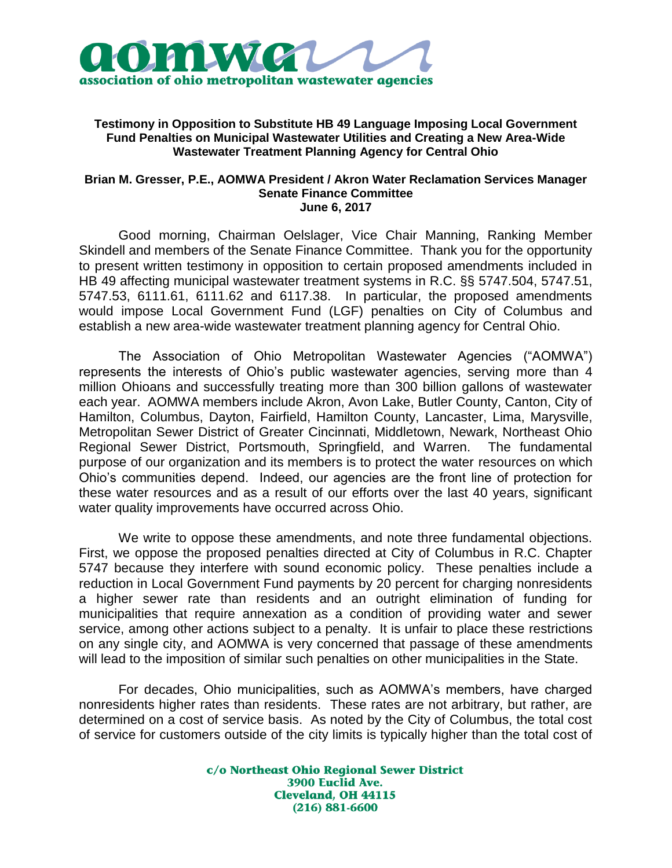

## **Testimony in Opposition to Substitute HB 49 Language Imposing Local Government Fund Penalties on Municipal Wastewater Utilities and Creating a New Area-Wide Wastewater Treatment Planning Agency for Central Ohio**

## **Brian M. Gresser, P.E., AOMWA President / Akron Water Reclamation Services Manager Senate Finance Committee June 6, 2017**

Good morning, Chairman Oelslager, Vice Chair Manning, Ranking Member Skindell and members of the Senate Finance Committee. Thank you for the opportunity to present written testimony in opposition to certain proposed amendments included in HB 49 affecting municipal wastewater treatment systems in R.C. §§ 5747.504, 5747.51, 5747.53, 6111.61, 6111.62 and 6117.38. In particular, the proposed amendments would impose Local Government Fund (LGF) penalties on City of Columbus and establish a new area-wide wastewater treatment planning agency for Central Ohio.

The Association of Ohio Metropolitan Wastewater Agencies ("AOMWA") represents the interests of Ohio's public wastewater agencies, serving more than 4 million Ohioans and successfully treating more than 300 billion gallons of wastewater each year. AOMWA members include Akron, Avon Lake, Butler County, Canton, City of Hamilton, Columbus, Dayton, Fairfield, Hamilton County, Lancaster, Lima, Marysville, Metropolitan Sewer District of Greater Cincinnati, Middletown, Newark, Northeast Ohio Regional Sewer District, Portsmouth, Springfield, and Warren. The fundamental purpose of our organization and its members is to protect the water resources on which Ohio's communities depend. Indeed, our agencies are the front line of protection for these water resources and as a result of our efforts over the last 40 years, significant water quality improvements have occurred across Ohio.

We write to oppose these amendments, and note three fundamental objections. First, we oppose the proposed penalties directed at City of Columbus in R.C. Chapter 5747 because they interfere with sound economic policy. These penalties include a reduction in Local Government Fund payments by 20 percent for charging nonresidents a higher sewer rate than residents and an outright elimination of funding for municipalities that require annexation as a condition of providing water and sewer service, among other actions subject to a penalty. It is unfair to place these restrictions on any single city, and AOMWA is very concerned that passage of these amendments will lead to the imposition of similar such penalties on other municipalities in the State.

For decades, Ohio municipalities, such as AOMWA's members, have charged nonresidents higher rates than residents. These rates are not arbitrary, but rather, are determined on a cost of service basis. As noted by the City of Columbus, the total cost of service for customers outside of the city limits is typically higher than the total cost of

> c/o Northeast Ohio Regional Sewer District 3900 Euclid Ave. **Cleveland, OH 44115**  $(216) 881 - 6600$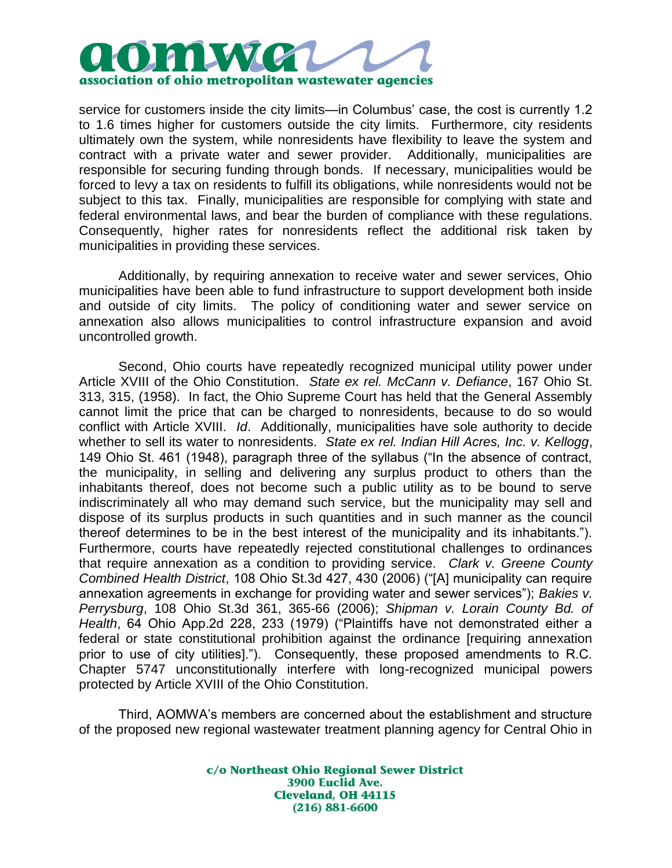

service for customers inside the city limits—in Columbus' case, the cost is currently 1.2 to 1.6 times higher for customers outside the city limits. Furthermore, city residents ultimately own the system, while nonresidents have flexibility to leave the system and contract with a private water and sewer provider. Additionally, municipalities are responsible for securing funding through bonds. If necessary, municipalities would be forced to levy a tax on residents to fulfill its obligations, while nonresidents would not be subject to this tax. Finally, municipalities are responsible for complying with state and federal environmental laws, and bear the burden of compliance with these regulations. Consequently, higher rates for nonresidents reflect the additional risk taken by municipalities in providing these services.

Additionally, by requiring annexation to receive water and sewer services, Ohio municipalities have been able to fund infrastructure to support development both inside and outside of city limits. The policy of conditioning water and sewer service on annexation also allows municipalities to control infrastructure expansion and avoid uncontrolled growth.

Second, Ohio courts have repeatedly recognized municipal utility power under Article XVIII of the Ohio Constitution. *State ex rel. McCann v. Defiance*, 167 Ohio St. 313, 315, (1958). In fact, the Ohio Supreme Court has held that the General Assembly cannot limit the price that can be charged to nonresidents, because to do so would conflict with Article XVIII. *Id*. Additionally, municipalities have sole authority to decide whether to sell its water to nonresidents. *State ex rel. Indian Hill Acres, Inc. v. Kellogg*, 149 Ohio St. 461 (1948), paragraph three of the syllabus ("In the absence of contract, the municipality, in selling and delivering any surplus product to others than the inhabitants thereof, does not become such a public utility as to be bound to serve indiscriminately all who may demand such service, but the municipality may sell and dispose of its surplus products in such quantities and in such manner as the council thereof determines to be in the best interest of the municipality and its inhabitants."). Furthermore, courts have repeatedly rejected constitutional challenges to ordinances that require annexation as a condition to providing service. *Clark v. Greene County Combined Health District*, 108 Ohio St.3d 427, 430 (2006) ("[A] municipality can require annexation agreements in exchange for providing water and sewer services"); *Bakies v. Perrysburg*, 108 Ohio St.3d 361, 365-66 (2006); *Shipman v. Lorain County Bd. of Health*, 64 Ohio App.2d 228, 233 (1979) ("Plaintiffs have not demonstrated either a federal or state constitutional prohibition against the ordinance [requiring annexation prior to use of city utilities]."). Consequently, these proposed amendments to R.C. Chapter 5747 unconstitutionally interfere with long-recognized municipal powers protected by Article XVIII of the Ohio Constitution.

Third, AOMWA's members are concerned about the establishment and structure of the proposed new regional wastewater treatment planning agency for Central Ohio in

> c/o Northeast Ohio Regional Sewer District 3900 Euclid Ave. **Cleveland, OH 44115**  $(216) 881 - 6600$